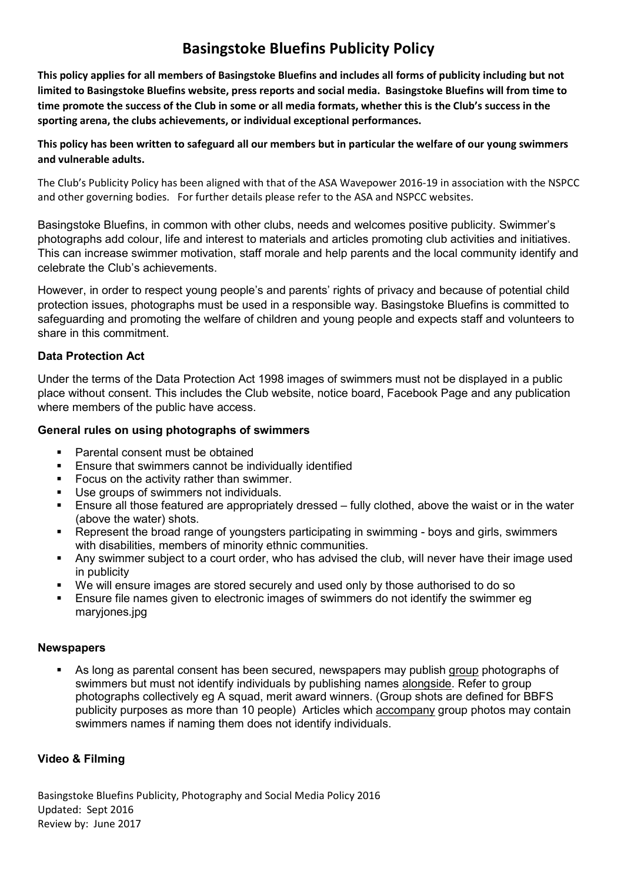# Basingstoke Bluefins Publicity Policy

This policy applies for all members of Basingstoke Bluefins and includes all forms of publicity including but not limited to Basingstoke Bluefins website, press reports and social media. Basingstoke Bluefins will from time to time promote the success of the Club in some or all media formats, whether this is the Club's success in the sporting arena, the clubs achievements, or individual exceptional performances.

### This policy has been written to safeguard all our members but in particular the welfare of our young swimmers and vulnerable adults.

The Club's Publicity Policy has been aligned with that of the ASA Wavepower 2016-19 in association with the NSPCC and other governing bodies. For further details please refer to the ASA and NSPCC websites.

Basingstoke Bluefins, in common with other clubs, needs and welcomes positive publicity. Swimmer's photographs add colour, life and interest to materials and articles promoting club activities and initiatives. This can increase swimmer motivation, staff morale and help parents and the local community identify and celebrate the Club's achievements.

However, in order to respect young people's and parents' rights of privacy and because of potential child protection issues, photographs must be used in a responsible way. Basingstoke Bluefins is committed to safeguarding and promoting the welfare of children and young people and expects staff and volunteers to share in this commitment.

### Data Protection Act

Under the terms of the Data Protection Act 1998 images of swimmers must not be displayed in a public place without consent. This includes the Club website, notice board, Facebook Page and any publication where members of the public have access.

### General rules on using photographs of swimmers

- Parental consent must be obtained
- Ensure that swimmers cannot be individually identified
- Focus on the activity rather than swimmer.
- Use groups of swimmers not individuals.
- Ensure all those featured are appropriately dressed fully clothed, above the waist or in the water (above the water) shots.
- Represent the broad range of youngsters participating in swimming boys and girls, swimmers with disabilities, members of minority ethnic communities.
- Any swimmer subject to a court order, who has advised the club, will never have their image used in publicity
- We will ensure images are stored securely and used only by those authorised to do so
- **Ensure file names given to electronic images of swimmers do not identify the swimmer eg** maryjones.jpg

### Newspapers

 As long as parental consent has been secured, newspapers may publish group photographs of swimmers but must not identify individuals by publishing names alongside. Refer to group photographs collectively eg A squad, merit award winners. (Group shots are defined for BBFS publicity purposes as more than 10 people) Articles which accompany group photos may contain swimmers names if naming them does not identify individuals.

### Video & Filming

Basingstoke Bluefins Publicity, Photography and Social Media Policy 2016 Updated: Sept 2016 Review by: June 2017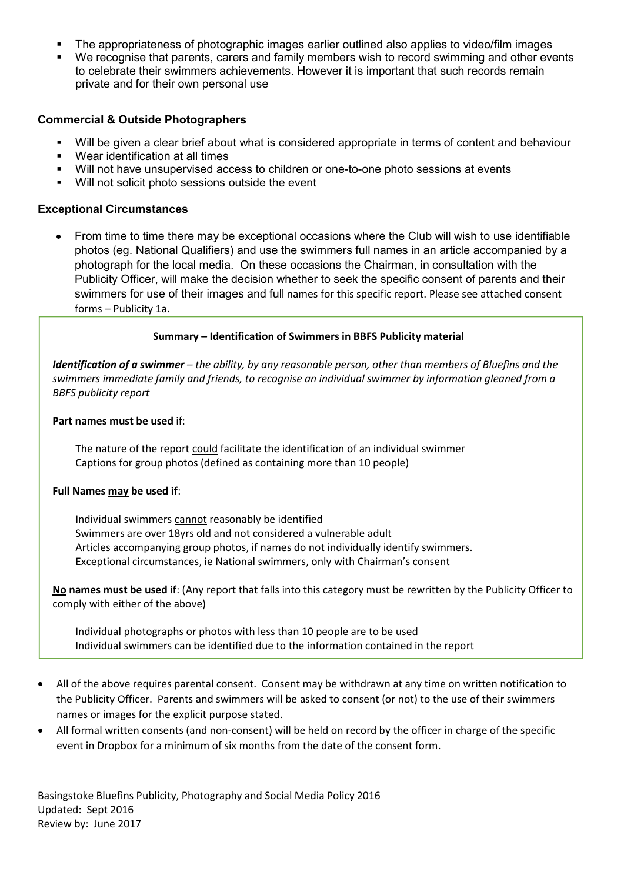- The appropriateness of photographic images earlier outlined also applies to video/film images
- We recognise that parents, carers and family members wish to record swimming and other events to celebrate their swimmers achievements. However it is important that such records remain private and for their own personal use

### Commercial & Outside Photographers

- Will be given a clear brief about what is considered appropriate in terms of content and behaviour
- Wear identification at all times
- Will not have unsupervised access to children or one-to-one photo sessions at events
- **Will not solicit photo sessions outside the event**

### Exceptional Circumstances

 From time to time there may be exceptional occasions where the Club will wish to use identifiable photos (eg. National Qualifiers) and use the swimmers full names in an article accompanied by a photograph for the local media. On these occasions the Chairman, in consultation with the Publicity Officer, will make the decision whether to seek the specific consent of parents and their swimmers for use of their images and full names for this specific report. Please see attached consent forms – Publicity 1a.

#### Summary – Identification of Swimmers in BBFS Publicity material

Identification of a swimmer – the ability, by any reasonable person, other than members of Bluefins and the swimmers immediate family and friends, to recognise an individual swimmer by information gleaned from a BBFS publicity report

#### Part names must be used if:

The nature of the report could facilitate the identification of an individual swimmer Captions for group photos (defined as containing more than 10 people)

#### Full Names may be used if:

Individual swimmers cannot reasonably be identified Swimmers are over 18yrs old and not considered a vulnerable adult Articles accompanying group photos, if names do not individually identify swimmers. Exceptional circumstances, ie National swimmers, only with Chairman's consent

No names must be used if: (Any report that falls into this category must be rewritten by the Publicity Officer to comply with either of the above)

Individual photographs or photos with less than 10 people are to be used Individual swimmers can be identified due to the information contained in the report

- All of the above requires parental consent. Consent may be withdrawn at any time on written notification to the Publicity Officer. Parents and swimmers will be asked to consent (or not) to the use of their swimmers names or images for the explicit purpose stated.
- All formal written consents (and non-consent) will be held on record by the officer in charge of the specific event in Dropbox for a minimum of six months from the date of the consent form.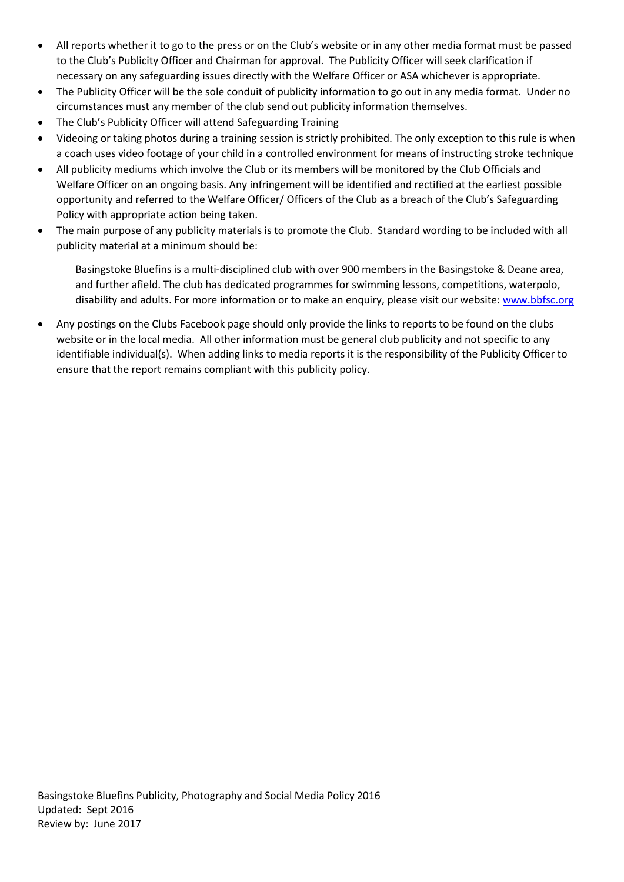- All reports whether it to go to the press or on the Club's website or in any other media format must be passed to the Club's Publicity Officer and Chairman for approval. The Publicity Officer will seek clarification if necessary on any safeguarding issues directly with the Welfare Officer or ASA whichever is appropriate.
- The Publicity Officer will be the sole conduit of publicity information to go out in any media format. Under no circumstances must any member of the club send out publicity information themselves.
- The Club's Publicity Officer will attend Safeguarding Training
- Videoing or taking photos during a training session is strictly prohibited. The only exception to this rule is when a coach uses video footage of your child in a controlled environment for means of instructing stroke technique
- All publicity mediums which involve the Club or its members will be monitored by the Club Officials and Welfare Officer on an ongoing basis. Any infringement will be identified and rectified at the earliest possible opportunity and referred to the Welfare Officer/ Officers of the Club as a breach of the Club's Safeguarding Policy with appropriate action being taken.
- The main purpose of any publicity materials is to promote the Club. Standard wording to be included with all publicity material at a minimum should be:

Basingstoke Bluefins is a multi-disciplined club with over 900 members in the Basingstoke & Deane area, and further afield. The club has dedicated programmes for swimming lessons, competitions, waterpolo, disability and adults. For more information or to make an enquiry, please visit our website: www.bbfsc.org

 Any postings on the Clubs Facebook page should only provide the links to reports to be found on the clubs website or in the local media. All other information must be general club publicity and not specific to any identifiable individual(s). When adding links to media reports it is the responsibility of the Publicity Officer to ensure that the report remains compliant with this publicity policy.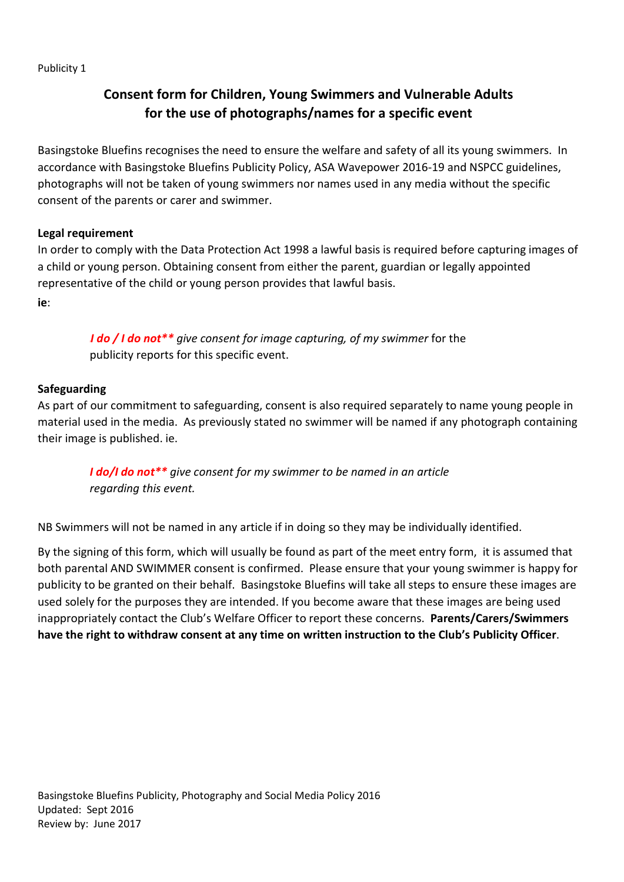Publicity 1

# Consent form for Children, Young Swimmers and Vulnerable Adults for the use of photographs/names for a specific event

Basingstoke Bluefins recognises the need to ensure the welfare and safety of all its young swimmers. In accordance with Basingstoke Bluefins Publicity Policy, ASA Wavepower 2016-19 and NSPCC guidelines, photographs will not be taken of young swimmers nor names used in any media without the specific consent of the parents or carer and swimmer.

## Legal requirement

In order to comply with the Data Protection Act 1998 a lawful basis is required before capturing images of a child or young person. Obtaining consent from either the parent, guardian or legally appointed representative of the child or young person provides that lawful basis. ie:

I do / I do not<sup>\*\*</sup> give consent for image capturing, of my swimmer for the publicity reports for this specific event.

# Safeguarding

As part of our commitment to safeguarding, consent is also required separately to name young people in material used in the media. As previously stated no swimmer will be named if any photograph containing their image is published. ie.

I do/I do not<sup>\*\*</sup> give consent for my swimmer to be named in an article regarding this event.

NB Swimmers will not be named in any article if in doing so they may be individually identified.

By the signing of this form, which will usually be found as part of the meet entry form, it is assumed that both parental AND SWIMMER consent is confirmed. Please ensure that your young swimmer is happy for publicity to be granted on their behalf. Basingstoke Bluefins will take all steps to ensure these images are used solely for the purposes they are intended. If you become aware that these images are being used inappropriately contact the Club's Welfare Officer to report these concerns. Parents/Carers/Swimmers have the right to withdraw consent at any time on written instruction to the Club's Publicity Officer.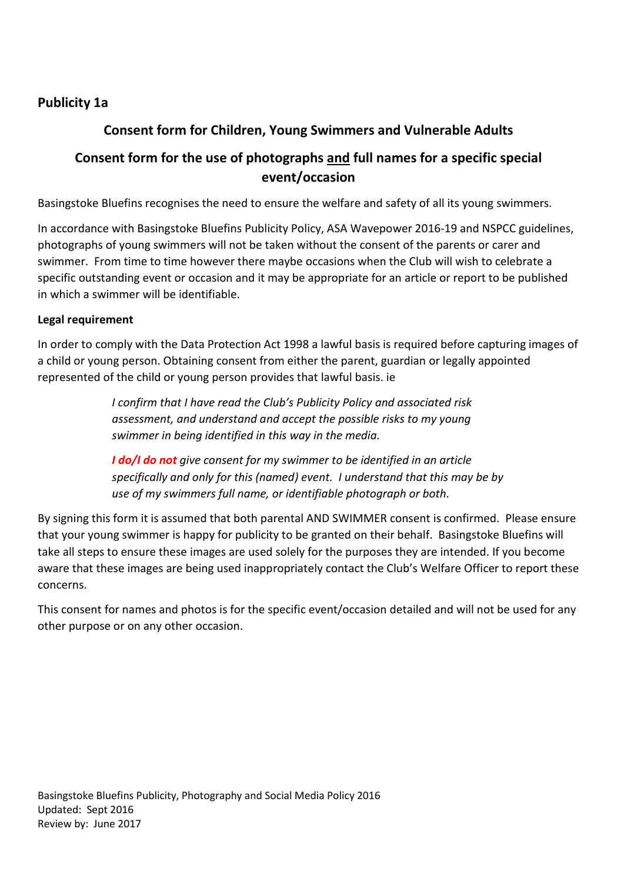# Publicity 1a

# Consent form for Children, Young Swimmers and Vulnerable Adults

# Consent form for the use of photographs and full names for a specific special event/occasion

Basingstoke Bluefins recognises the need to ensure the welfare and safety of all its young swimmers.

In accordance with Basingstoke Bluefins Publicity Policy, ASA Wavepower 2016-19 and NSPCC guidelines, photographs of young swimmers will not be taken without the consent of the parents or carer and swimmer. From time to time however there maybe occasions when the Club will wish to celebrate a specific outstanding event or occasion and it may be appropriate for an article or report to be published in which a swimmer will be identifiable.

## Legal requirement

In order to comply with the Data Protection Act 1998 a lawful basis is required before capturing images of a child or young person. Obtaining consent from either the parent, guardian or legally appointed represented of the child or young person provides that lawful basis. ie

> I confirm that I have read the Club's Publicity Policy and associated risk assessment, and understand and accept the possible risks to my young swimmer in being identified in this way in the media.

I do/I do not give consent for my swimmer to be identified in an article specifically and only for this (named) event. I understand that this may be by use of my swimmers full name, or identifiable photograph or both.

By signing this form it is assumed that both parental AND SWIMMER consent is confirmed. Please ensure that your young swimmer is happy for publicity to be granted on their behalf. Basingstoke Bluefins will take all steps to ensure these images are used solely for the purposes they are intended. If you become aware that these images are being used inappropriately contact the Club's Welfare Officer to report these concerns.

This consent for names and photos is for the specific event/occasion detailed and will not be used for any other purpose or on any other occasion.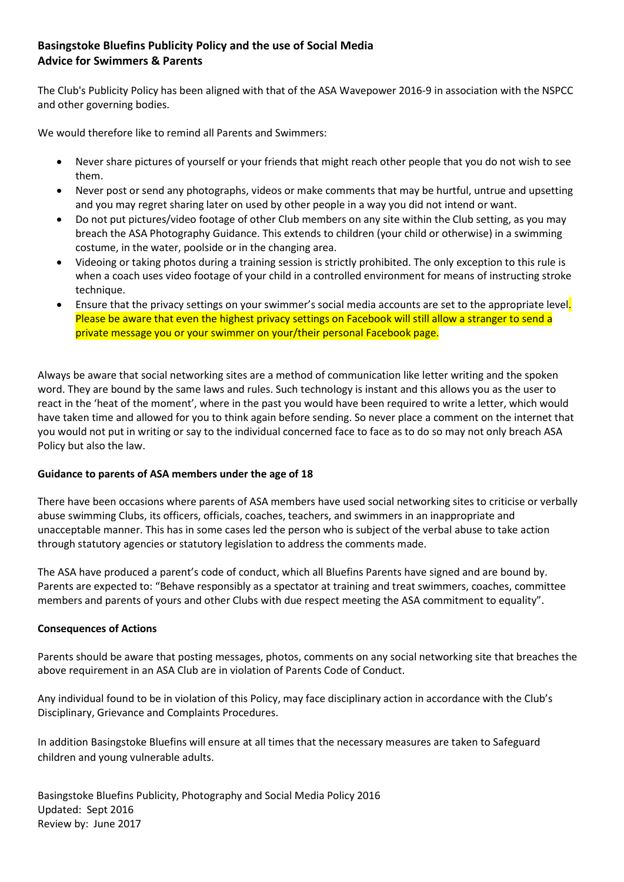## Basingstoke Bluefins Publicity Policy and the use of Social Media Advice for Swimmers & Parents

The Club's Publicity Policy has been aligned with that of the ASA Wavepower 2016-9 in association with the NSPCC and other governing bodies.

We would therefore like to remind all Parents and Swimmers:

- Never share pictures of yourself or your friends that might reach other people that you do not wish to see them.
- Never post or send any photographs, videos or make comments that may be hurtful, untrue and upsetting and you may regret sharing later on used by other people in a way you did not intend or want.
- Do not put pictures/video footage of other Club members on any site within the Club setting, as you may breach the ASA Photography Guidance. This extends to children (your child or otherwise) in a swimming costume, in the water, poolside or in the changing area.
- Videoing or taking photos during a training session is strictly prohibited. The only exception to this rule is when a coach uses video footage of your child in a controlled environment for means of instructing stroke technique.
- Ensure that the privacy settings on your swimmer's social media accounts are set to the appropriate level. Please be aware that even the highest privacy settings on Facebook will still allow a stranger to send a private message you or your swimmer on your/their personal Facebook page.

Always be aware that social networking sites are a method of communication like letter writing and the spoken word. They are bound by the same laws and rules. Such technology is instant and this allows you as the user to react in the 'heat of the moment', where in the past you would have been required to write a letter, which would have taken time and allowed for you to think again before sending. So never place a comment on the internet that you would not put in writing or say to the individual concerned face to face as to do so may not only breach ASA Policy but also the law.

### Guidance to parents of ASA members under the age of 18

There have been occasions where parents of ASA members have used social networking sites to criticise or verbally abuse swimming Clubs, its officers, officials, coaches, teachers, and swimmers in an inappropriate and unacceptable manner. This has in some cases led the person who is subject of the verbal abuse to take action through statutory agencies or statutory legislation to address the comments made.

The ASA have produced a parent's code of conduct, which all Bluefins Parents have signed and are bound by. Parents are expected to: "Behave responsibly as a spectator at training and treat swimmers, coaches, committee members and parents of yours and other Clubs with due respect meeting the ASA commitment to equality".

### Consequences of Actions

Parents should be aware that posting messages, photos, comments on any social networking site that breaches the above requirement in an ASA Club are in violation of Parents Code of Conduct.

Any individual found to be in violation of this Policy, may face disciplinary action in accordance with the Club's Disciplinary, Grievance and Complaints Procedures.

In addition Basingstoke Bluefins will ensure at all times that the necessary measures are taken to Safeguard children and young vulnerable adults.

Basingstoke Bluefins Publicity, Photography and Social Media Policy 2016 Updated: Sept 2016 Review by: June 2017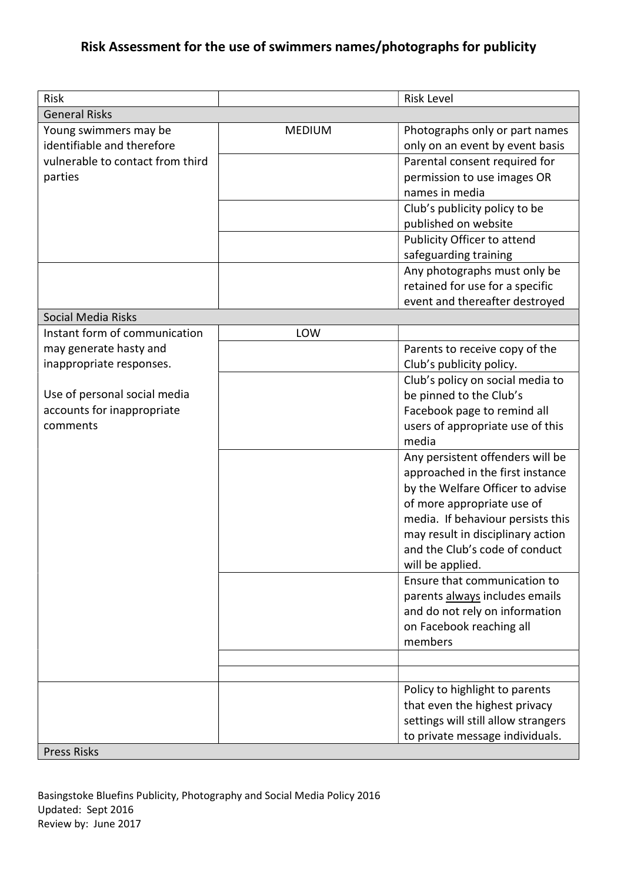# Risk Assessment for the use of swimmers names/photographs for publicity

| Risk                             |               | <b>Risk Level</b>                   |
|----------------------------------|---------------|-------------------------------------|
| <b>General Risks</b>             |               |                                     |
| Young swimmers may be            | <b>MEDIUM</b> | Photographs only or part names      |
| identifiable and therefore       |               | only on an event by event basis     |
| vulnerable to contact from third |               | Parental consent required for       |
| parties                          |               | permission to use images OR         |
|                                  |               | names in media                      |
|                                  |               | Club's publicity policy to be       |
|                                  |               | published on website                |
|                                  |               | Publicity Officer to attend         |
|                                  |               | safeguarding training               |
|                                  |               | Any photographs must only be        |
|                                  |               | retained for use for a specific     |
|                                  |               | event and thereafter destroyed      |
| <b>Social Media Risks</b>        |               |                                     |
| Instant form of communication    | LOW           |                                     |
| may generate hasty and           |               | Parents to receive copy of the      |
| inappropriate responses.         |               | Club's publicity policy.            |
|                                  |               | Club's policy on social media to    |
| Use of personal social media     |               | be pinned to the Club's             |
| accounts for inappropriate       |               | Facebook page to remind all         |
| comments                         |               | users of appropriate use of this    |
|                                  |               | media                               |
|                                  |               | Any persistent offenders will be    |
|                                  |               | approached in the first instance    |
|                                  |               | by the Welfare Officer to advise    |
|                                  |               | of more appropriate use of          |
|                                  |               | media. If behaviour persists this   |
|                                  |               | may result in disciplinary action   |
|                                  |               | and the Club's code of conduct      |
|                                  |               |                                     |
|                                  |               | will be applied.                    |
|                                  |               | Ensure that communication to        |
|                                  |               | parents always includes emails      |
|                                  |               | and do not rely on information      |
|                                  |               | on Facebook reaching all            |
|                                  |               | members                             |
|                                  |               |                                     |
|                                  |               |                                     |
|                                  |               | Policy to highlight to parents      |
|                                  |               | that even the highest privacy       |
|                                  |               | settings will still allow strangers |
|                                  |               | to private message individuals.     |
| <b>Press Risks</b>               |               |                                     |